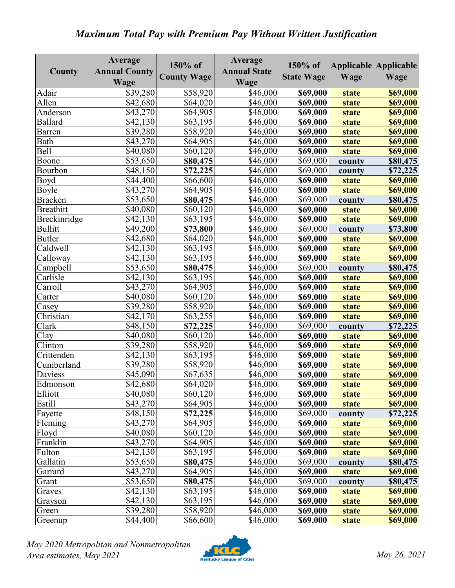## *Maximum Total Pay with Premium Pay Without Written Justification*

| County           | Average<br><b>Annual County</b><br>Wage | 150% of<br><b>County Wage</b> | Average<br><b>Annual State</b><br>Wage | 150% of<br><b>State Wage</b> | Wage         | Applicable Applicable<br>Wage |
|------------------|-----------------------------------------|-------------------------------|----------------------------------------|------------------------------|--------------|-------------------------------|
| Adair            | \$39,280                                | \$58,920                      | \$46,000                               | \$69,000                     | state        | \$69,000                      |
| Allen            | \$42,680                                | \$64,020                      | \$46,000                               | \$69,000                     | state        | \$69,000                      |
| Anderson         | \$43,270                                | \$64,905                      | \$46,000                               | \$69,000                     | state        | \$69,000                      |
| <b>Ballard</b>   | \$42,130                                | \$63,195                      | \$46,000                               | \$69,000                     | state        | \$69,000                      |
| <b>Barren</b>    | \$39,280                                | $\overline{$}58,920$          | \$46,000                               | \$69,000                     | state        | \$69,000                      |
| Bath             | \$43,270                                | \$64,905                      | \$46,000                               | \$69,000                     | state        | \$69,000                      |
| <b>Bell</b>      | \$40,080                                | \$60,120                      | \$46,000                               | \$69,000                     | <b>state</b> | \$69,000                      |
| Boone            | \$53,650                                | \$80,475                      | \$46,000                               | \$69,000                     | county       | \$80,475                      |
| Bourbon          | \$48,150                                | \$72,225                      | \$46,000                               | \$69,000                     | county       | \$72,225                      |
| Boyd             | \$44,400                                | \$66,600                      | \$46,000                               | \$69,000                     | state        | \$69,000                      |
| Boyle            | \$43,270                                | \$64,905                      | \$46,000                               | \$69,000                     | state        | \$69,000                      |
| <b>Bracken</b>   | \$53,650                                | \$80,475                      | \$46,000                               | \$69,000                     | county       | \$80,475                      |
| <b>Breathitt</b> | \$40,080                                | \$60,120                      | \$46,000                               | \$69,000                     | state        | \$69,000                      |
| Breckinridge     | \$42,130                                | \$63,195                      | \$46,000                               | \$69,000                     | state        | \$69,000                      |
| <b>Bullitt</b>   | \$49,200                                | \$73,800                      | \$46,000                               | \$69,000                     | county       | \$73,800                      |
| <b>Butler</b>    | \$42,680                                | \$64,020                      | \$46,000                               | \$69,000                     | state        | \$69,000                      |
| Caldwell         | \$42,130                                | \$63,195                      | \$46,000                               | \$69,000                     | state        | \$69,000                      |
| Calloway         | \$42,130                                | \$63,195                      | \$46,000                               | \$69,000                     | state        | \$69,000                      |
| Campbell         | \$53,650                                | \$80,475                      | \$46,000                               | \$69,000                     | county       | \$80,475                      |
| Carlisle         | \$42,130                                | \$63,195                      | \$46,000                               | \$69,000                     | state        | \$69,000                      |
| Carroll          | \$43,270                                | \$64,905                      | \$46,000                               | \$69,000                     | state        | \$69,000                      |
| Carter           | \$40,080                                | \$60,120                      | \$46,000                               | \$69,000                     | state        | \$69,000                      |
| Casey            | \$39,280                                | \$58,920                      | \$46,000                               | \$69,000                     | state        | \$69,000                      |
| Christian        | \$42,170                                | \$63,255                      | \$46,000                               | \$69,000                     | state        | \$69,000                      |
| Clark            | \$48,150                                | \$72,225                      | \$46,000                               | \$69,000                     | county       | \$72,225                      |
| Clay             | \$40,080                                | \$60,120                      | \$46,000                               | \$69,000                     | state        | \$69,000                      |
| Clinton          | \$39,280                                | \$58,920                      | \$46,000                               | \$69,000                     | state        | \$69,000                      |
| Crittenden       | \$42,130                                | \$63,195                      | \$46,000                               | \$69,000                     | state        | <b>\$69,000</b>               |
| Cumberland       | \$39,280                                | \$58,920                      | \$46,000                               | \$69,000                     | state        | \$69,000                      |
| Daviess          | \$45,090                                | \$67,635                      | \$46,000                               | \$69,000                     | state        | \$69,000                      |
| Edmonson         | \$42,680                                | \$64,020                      | \$46,000                               | \$69,000                     | state        | <b>\$69,000</b>               |
| Elliott          | \$40,080                                | \$60,120                      | \$46,000                               | \$69,000                     | <b>state</b> | \$69,000                      |
| Estill           | \$43,270                                | \$64,905                      | \$46,000                               | \$69,000                     | state        | \$69,000                      |
| Fayette          | \$48,150                                | \$72,225                      | \$46,000                               | \$69,000                     | county       | \$72,225                      |
| Fleming          | \$43,270                                | \$64,905                      | \$46,000                               | \$69,000                     | state        | \$69,000                      |
| Floyd            | \$40,080                                | \$60,120                      | \$46,000                               | \$69,000                     | state        | \$69,000                      |
| Franklin         | \$43,270                                | \$64,905                      | \$46,000                               | \$69,000                     | state        | \$69,000                      |
| Fulton           | \$42,130                                | \$63,195                      | \$46,000                               | \$69,000                     | state        | \$69,000                      |
| Gallatin         | \$53,650                                | \$80,475                      | \$46,000                               | \$69,000                     | county       | \$80,475                      |
| Garrard          | \$43,270                                | \$64,905                      | \$46,000                               | \$69,000                     | state        | \$69,000                      |
| Grant            | \$53,650                                | \$80,475                      | \$46,000                               | \$69,000                     | county       | \$80,475                      |
| Graves           | \$42,130                                | \$63,195                      | \$46,000                               | \$69,000                     | state        | \$69,000                      |
| Grayson          | \$42,130                                | \$63,195                      | \$46,000                               | \$69,000                     | state        | \$69,000                      |
| Green            | \$39,280                                | \$58,920                      | \$46,000                               | \$69,000                     | state        | \$69,000                      |
| Greenup          | \$44,400                                | \$66,600                      | \$46,000                               | \$69,000                     | state        | \$69,000                      |

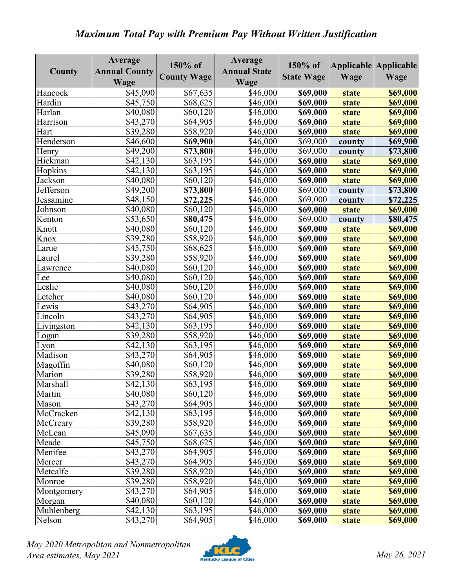## *Maximum Total Pay with Premium Pay Without Written Justification*

| County           | Average<br><b>Annual County</b><br>Wage | 150% of<br><b>County Wage</b> | Average<br><b>Annual State</b><br>Wage | 150% of<br><b>State Wage</b> | Wage         | Applicable Applicable<br>Wage |
|------------------|-----------------------------------------|-------------------------------|----------------------------------------|------------------------------|--------------|-------------------------------|
| Hancock          | \$45,090                                | \$67,635                      | \$46,000                               | \$69,000                     | <b>state</b> | \$69,000                      |
| Hardin           | \$45,750                                | \$68,625                      | \$46,000                               | \$69,000                     | <b>state</b> | \$69,000                      |
| Harlan           | \$40,080                                | \$60,120                      | \$46,000                               | \$69,000                     | <b>state</b> | \$69,000                      |
| Harrison         | \$43,270                                | \$64,905                      | \$46,000                               | \$69,000                     | <b>state</b> | \$69,000                      |
| Hart             | \$39,280                                | \$58,920                      | \$46,000                               | \$69,000                     | <b>state</b> | \$69,000                      |
| Henderson        | \$46,600                                | \$69,900                      | \$46,000                               | \$69,000                     | county       | \$69,900                      |
| Henry            | \$49,200                                | \$73,800                      | \$46,000                               | \$69,000                     | county       | \$73,800                      |
| Hickman          | \$42,130                                | \$63,195                      | \$46,000                               | \$69,000                     | <b>state</b> | \$69,000                      |
| Hopkins          | \$42,130                                | \$63,195                      | \$46,000                               | \$69,000                     | <b>state</b> | \$69,000                      |
| Jackson          | \$40,080                                | \$60,120                      | \$46,000                               | \$69,000                     | <b>state</b> | \$69,000                      |
| <b>Jefferson</b> | \$49,200                                | \$73,800                      | \$46,000                               | \$69,000                     | county       | \$73,800                      |
| Jessamine        | \$48,150                                | \$72,225                      | \$46,000                               | \$69,000                     | county       | \$72,225                      |
| Johnson          | \$40,080                                | \$60,120                      | \$46,000                               | \$69,000                     | <b>state</b> | \$69,000                      |
| Kenton           | \$53,650                                | \$80,475                      | \$46,000                               | \$69,000                     | county       | \$80,475                      |
| Knott            | \$40,080                                | \$60,120                      | \$46,000                               | \$69,000                     | <b>state</b> | \$69,000                      |
| Knox             | \$39,280                                | \$58,920                      | \$46,000                               | \$69,000                     | state        | \$69,000                      |
| Larue            | \$45,750                                | \$68,625                      | \$46,000                               | \$69,000                     | <b>state</b> | \$69,000                      |
| Laurel           | \$39,280                                | \$58,920                      | \$46,000                               | \$69,000                     | <b>state</b> | \$69,000                      |
| Lawrence         | \$40,080                                | \$60,120                      | \$46,000                               | \$69,000                     | <b>state</b> | \$69,000                      |
| Lee              | \$40,080                                | \$60,120                      | \$46,000                               | \$69,000                     | state        | \$69,000                      |
| Leslie           | \$40,080                                | \$60,120                      | \$46,000                               | \$69,000                     | <b>state</b> | \$69,000                      |
| Letcher          | \$40,080                                | \$60,120                      | \$46,000                               | \$69,000                     | <b>state</b> | \$69,000                      |
| Lewis            | \$43,270                                | \$64,905                      | \$46,000                               | \$69,000                     | <b>state</b> | \$69,000                      |
| Lincoln          | \$43,270                                | \$64,905                      | \$46,000                               | \$69,000                     | <b>state</b> | \$69,000                      |
| Livingston       | \$42,130                                | \$63,195                      | \$46,000                               | \$69,000                     | <b>state</b> | \$69,000                      |
| Logan            | \$39,280                                | \$58,920                      | \$46,000                               | \$69,000                     | <b>state</b> | \$69,000                      |
| Lyon             | \$42,130                                | \$63,195                      | \$46,000                               | \$69,000                     | state        | \$69,000                      |
| Madison          | \$43,270                                | \$64,905                      | \$46,000                               | \$69,000                     | <b>state</b> | \$69,000                      |
| Magoffin         | \$40,080                                | \$60,120                      | \$46,000                               | \$69,000                     | <b>state</b> | \$69,000                      |
| Marion           | \$39,280                                | \$58,920                      | \$46,000                               | \$69,000                     | <b>state</b> | \$69,000                      |
| Marshall         | \$42,130                                | \$63,195                      | \$46,000                               | \$69,000                     | state        | <b>\$69,000</b>               |
| Martin           | \$40,080                                | \$60,120                      | \$46,000                               | \$69,000                     | state        | \$69,000                      |
| Mason            | \$43,270                                | \$64,905                      | \$46,000                               | \$69,000                     | state        | \$69,000                      |
| McCracken        | \$42,130                                | \$63,195                      | \$46,000                               | \$69,000                     | state        | \$69,000                      |
| McCreary         | \$39,280                                | \$58,920                      | \$46,000                               | \$69,000                     | <b>state</b> | \$69,000                      |
| McLean           | \$45,090                                | \$67,635                      | \$46,000                               | \$69,000                     | <b>state</b> | \$69,000                      |
| Meade            | \$45,750                                | \$68,625                      | \$46,000                               | \$69,000                     | state        | \$69,000                      |
| Menifee          | \$43,270                                | \$64,905                      | \$46,000                               | \$69,000                     | state        | \$69,000                      |
| Mercer           | \$43,270                                | \$64,905                      | \$46,000                               | \$69,000                     | <b>state</b> | \$69,000                      |
| Metcalfe         | \$39,280                                | \$58,920                      | \$46,000                               | \$69,000                     | <b>state</b> | \$69,000                      |
| Monroe           | \$39,280                                | \$58,920                      | \$46,000                               | \$69,000                     | <b>state</b> | \$69,000                      |
| Montgomery       | \$43,270                                | \$64,905                      | \$46,000                               | \$69,000                     | state        | \$69,000                      |
| Morgan           | \$40,080                                | \$60,120                      | \$46,000                               | \$69,000                     | state        | \$69,000                      |
| Muhlenberg       | \$42,130                                | \$63,195                      | \$46,000                               | \$69,000                     | state        | \$69,000                      |
| Nelson           | \$43,270                                | \$64,905                      | \$46,000                               | \$69,000                     | state        | \$69,000                      |